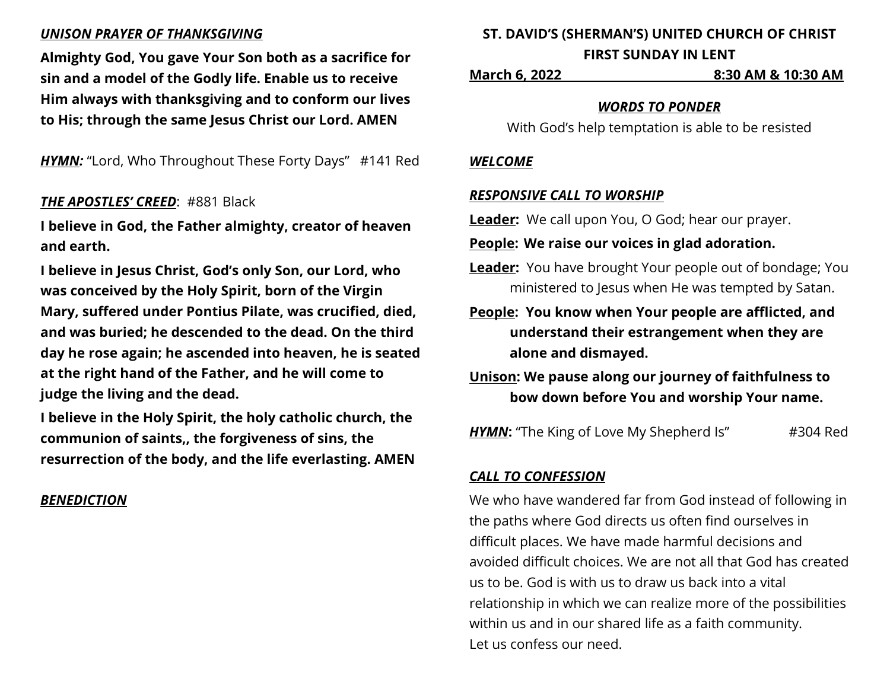## *UNISON PRAYER OF THANKSGIVING*

**Almighty God, You gave Your Son both as a sacrifice for sin and a model of the Godly life. Enable us to receive Him always with thanksgiving and to conform our lives to His; through the same Jesus Christ our Lord. AMEN**

**HYMN:** "Lord, Who Throughout These Forty Days" #141 Red

## *THE APOSTLES' CREED*: #881 Black

**I believe in God, the Father almighty, creator of heaven and earth.**

**I believe in Jesus Christ, God's only Son, our Lord, who was conceived by the Holy Spirit, born of the Virgin Mary, suffered under Pontius Pilate, was crucified, died, and was buried; he descended to the dead. On the third day he rose again; he ascended into heaven, he is seated at the right hand of the Father, and he will come to judge the living and the dead.**

**I believe in the Holy Spirit, the holy catholic church, the communion of saints,, the forgiveness of sins, the resurrection of the body, and the life everlasting. AMEN**

## *BENEDICTION*

# **ST. DAVID'S (SHERMAN'S) UNITED CHURCH OF CHRIST FIRST SUNDAY IN LENT**

**March 6, 2022 8:30 AM & 10:30 AM**

#### *WORDS TO PONDER*

With God's help temptation is able to be resisted

#### *WELCOME*

## *RESPONSIVE CALL TO WORSHIP*

**Leader:** We call upon You, O God; hear our prayer.

- **People: We raise our voices in glad adoration.**
- **Leader:** You have brought Your people out of bondage; You ministered to Jesus when He was tempted by Satan.

**People: You know when Your people are afflicted, and understand their estrangement when they are alone and dismayed.**

**Unison: We pause along our journey of faithfulness to bow down before You and worship Your name.**

**HYMN:** "The King of Love My Shepherd Is" #304 Red

# *CALL TO CONFESSION*

We who have wandered far from God instead of following in the paths where God directs us often find ourselves in difficult places. We have made harmful decisions and avoided difficult choices. We are not all that God has created us to be. God is with us to draw us back into a vital relationship in which we can realize more of the possibilities within us and in our shared life as a faith community. Let us confess our need.